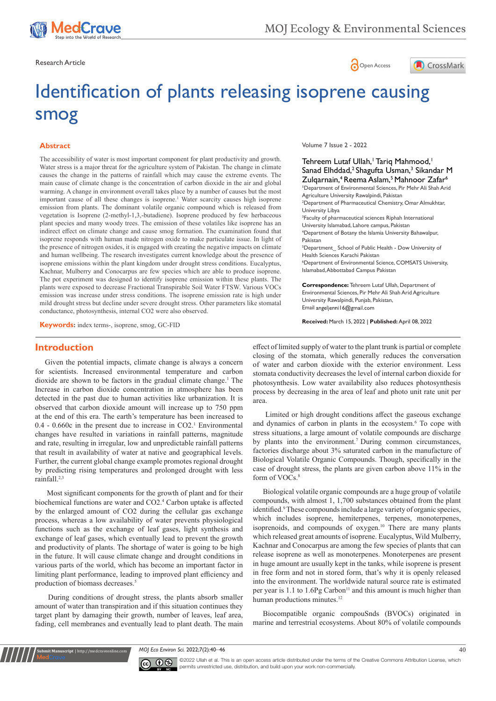

Research Article **Contracts** Contracts and Contracts and Contracts Contracts Contracts and Open Access





# Identification of plants releasing isoprene causing smog

## **Abstract**

The accessibility of water is most important component for plant productivity and growth. Water stress is a major threat for the agriculture system of Pakistan. The change in climate causes the change in the patterns of rainfall which may cause the extreme events. The main cause of climate change is the concentration of carbon dioxide in the air and global warming. A change in environment overall takes place by a number of causes but the most important cause of all these changes is isoprene.<sup>1</sup> Water scarcity causes high isoprene emission from plants. The dominant volatile organic compound which is released from vegetation is Isoprene (2-methyl-1,3,-butadiene). Isoprene produced by few herbaceous plant species and many woody trees. The emission of these volatiles like isoprene has an indirect effect on climate change and cause smog formation. The examination found that isoprene responds with human made nitrogen oxide to make particulate issue. In light of the presence of nitrogen oxides, it is engaged with creating the negative impacts on climate and human wellbeing. The research investigates current knowledge about the presence of isoprene emissions within the plant kingdom under drought stress conditions. Eucalyptus, Kachnar, Mulberry and Conocarpus are few species which are able to produce isoprene. The pot experiment was designed to identify isoprene emission within these plants. The plants were exposed to decrease Fractional Transpirable Soil Water FTSW. Various VOCs emission was increase under stress conditions. The isoprene emission rate is high under mild drought stress but decline under severe drought stress. Other parameters like stomatal conductance, photosynthesis, internal CO2 were also observed.

**Keywords:** index terms-, isoprene, smog, GC-FID

## **Introduction**

Given the potential impacts, climate change is always a concern for scientists. Increased environmental temperature and carbon dioxide are shown to be factors in the gradual climate change.<sup>1</sup> The Increase in carbon dioxide concentration in atmosphere has been detected in the past due to human activities like urbanization. It is observed that carbon dioxide amount will increase up to 750 ppm at the end of this era. The earth's temperature has been increased to  $0.4 - 0.660c$  in the present due to increase in CO2.<sup>1</sup> Environmental changes have resulted in variations in rainfall patterns, magnitude and rate, resulting in irregular, low and unpredictable rainfall patterns that result in availability of water at native and geographical levels. Further, the current global change example promotes regional drought by predicting rising temperatures and prolonged drought with less rainfall.2,3

 Most significant components for the growth of plant and for their biochemical functions are water and CO2.4 Carbon uptake is affected by the enlarged amount of CO2 during the cellular gas exchange process, whereas a low availability of water prevents physiological functions such as the exchange of leaf gases, light synthesis and exchange of leaf gases, which eventually lead to prevent the growth and productivity of plants. The shortage of water is going to be high in the future. It will cause climate change and drought conditions in various parts of the world, which has become an important factor in limiting plant performance, leading to improved plant efficiency and production of biomass decreases.5

 During conditions of drought stress, the plants absorb smaller amount of water than transpiration and if this situation continues they target plant by damaging their growth, number of leaves, leaf area, fading, cell membranes and eventually lead to plant death. The main

**it Manuscript** | http://medcraveonline.c

Volume 7 Issue 2 - 2022

Tehreem Lutaf Ullah,<sup>1</sup> Tariq Mahmood,<sup>1</sup> Sanad Elhddad,<sup>2</sup> Shagufta Usman,<sup>3</sup> Sikandar M Zulgarnain,<sup>4</sup> Reema Aslam,<sup>5</sup> Mahnoor Zafar<sup>6</sup> **1** Department of Environmental Sciences, Pir Mehr Ali Shah Arid Agriculture University Rawalpindi, Pakistan 2 Department of Pharmaceutical Chemistry, Omar Almukhtar, University Libya 3 Faculty of pharmaceutical sciences Riphah International University Islamabad, Lahore campus, Pakistan 4 Department of Botany the Islamia University Bahawalpur, Pakistan 5 Department\_ School of Public Health - Dow University of Health Sciences Karachi Pakistan 6 Department of Environmental Science, COMSATS University, Islamabad, Abbottabad Campus Pakistan **Correspondence:** Tehreem Lutaf Ullah, Department of Environmental Sciences, Pir Mehr Ali Shah Arid Agriculture

University Rawalpindi, Punjab, Pakistan, Email angeljenni l6@gmail.com

**Received:** March 15, 2022 | **Published:** April 08, 2022

effect of limited supply of water to the plant trunk is partial or complete closing of the stomata, which generally reduces the conversation of water and carbon dioxide with the exterior environment. Less stomata conductivity decreases the level of internal carbon dioxide for photosynthesis. Low water availability also reduces photosynthesis process by decreasing in the area of leaf and photo unit rate unit per area.

 Limited or high drought conditions affect the gaseous exchange and dynamics of carbon in plants in the ecosystem.<sup>6</sup> To cope with stress situations, a large amount of volatile compounds are discharge by plants into the environment.7 During common circumstances, factories discharge about 3% saturated carbon in the manufacture of Biological Volatile Organic Compounds. Though, specifically in the case of drought stress, the plants are given carbon above 11% in the form of VOCs.<sup>8</sup>

Biological volatile organic compounds are a huge group of volatile compounds, with almost 1, 1,700 substances obtained from the plant identified.<sup>9</sup> These compounds include a large variety of organic species, which includes isoprene, hemiterpenes, terpenes, monoterpenes, isoprenoids, and compounds of oxygen.<sup>10</sup> There are many plants which released great amounts of isoprene. Eucalyptus, Wild Mulberry, Kachnar and Conocarpus are among the few species of plants that can release isoprene as well as monoterpenes. Monoterpenes are present in huge amount are usually kept in the tanks, while isoprene is present in free form and not in stored form, that's why it is openly released into the environment. The worldwide natural source rate is estimated per year is 1.1 to  $1.6Pg$  Carbon<sup>11</sup> and this amount is much higher than human productions minutes.<sup>12</sup>

Biocompatible organic compouSnds (BVOCs) originated in marine and terrestrial ecosystems. About 80% of volatile compounds

*MOJ Eco Environ Sci.* 2022;7(2):40‒46 40



©2022 Ullah et al. This is an open access article distributed under the terms of the Creative Commons Attribution License, which permits unrestricted use, distribution, and build upon your work non-commercially.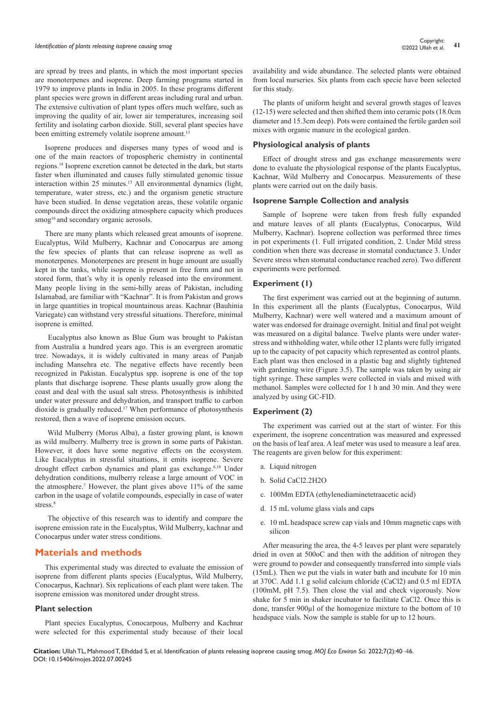are spread by trees and plants, in which the most important species are monoterpenes and isoprene. Deep farming programs started in 1979 to improve plants in India in 2005. In these programs different plant species were grown in different areas including rural and urban. The extensive cultivation of plant types offers much welfare, such as improving the quality of air, lower air temperatures, increasing soil fertility and isolating carbon dioxide. Still, several plant species have been emitting extremely volatile isoprene amount.<sup>13</sup>

Isoprene produces and disperses many types of wood and is one of the main reactors of tropospheric chemistry in continental regions.14 Isoprene excretion cannot be detected in the dark, but starts faster when illuminated and causes fully stimulated genomic tissue interaction within 25 minutes.<sup>15</sup> All environmental dynamics (light, temperature, water stress, etc.) and the organism genetic structure have been studied. In dense vegetation areas, these volatile organic compounds direct the oxidizing atmosphere capacity which produces smog<sup>16</sup> and secondary organic aerosols.

There are many plants which released great amounts of isoprene. Eucalyptus, Wild Mulberry, Kachnar and Conocarpus are among the few species of plants that can release isoprene as well as monoterpenes. Monoterpenes are present in huge amount are usually kept in the tanks, while isoprene is present in free form and not in stored form, that's why it is openly released into the environment. Many people living in the semi-hilly areas of Pakistan, including Islamabad, are familiar with "Kachnar". It is from Pakistan and grows in large quantities in tropical mountainous areas. Kachnar (Bauhinia Variegate) can withstand very stressful situations. Therefore, minimal isoprene is emitted.

 Eucalyptus also known as Blue Gum was brought to Pakistan from Australia a hundred years ago. This is an evergreen aromatic tree. Nowadays, it is widely cultivated in many areas of Punjab including Mansehra etc. The negative effects have recently been recognized in Pakistan. Eucalyptus spp. isoprene is one of the top plants that discharge isoprene. These plants usually grow along the coast and deal with the usual salt stress. Photosynthesis is inhibited under water pressure and dehydration, and transport traffic to carbon dioxide is gradually reduced.17 When performance of photosynthesis restored, then a wave of isoprene emission occurs.

 Wild Mulberry (Morus Alba), a faster growing plant, is known as wild mulberry. Mulberry tree is grown in some parts of Pakistan. However, it does have some negative effects on the ecosystem. Like Eucalyptus in stressful situations, it emits isoprene. Severe drought effect carbon dynamics and plant gas exchange.<sup>6,18</sup> Under dehydration conditions, mulberry release a large amount of VOC in the atmosphere.7 However, the plant gives above 11% of the same carbon in the usage of volatile compounds, especially in case of water stress.<sup>8</sup>

 The objective of this research was to identify and compare the isoprene emission rate in the Eucalyptus, Wild Mulberry, kachnar and Conocarpus under water stress conditions.

## **Materials and methods**

This experimental study was directed to evaluate the emission of isoprene from different plants species (Eucalyptus, Wild Mulberry, Conocarpus, Kachnar). Six replications of each plant were taken. The isoprene emission was monitored under drought stress.

#### **Plant selection**

Plant species Eucalyptus, Conocarpous, Mulberry and Kachnar were selected for this experimental study because of their local

availability and wide abundance. The selected plants were obtained from local nurseries. Six plants from each specie have been selected for this study.

The plants of uniform height and several growth stages of leaves (12-15) were selected and then shifted them into ceramic pots (18.0cm diameter and 15.3cm deep). Pots were contained the fertile garden soil mixes with organic manure in the ecological garden.

## **Physiological analysis of plants**

Effect of drought stress and gas exchange measurements were done to evaluate the physiological response of the plants Eucalyptus, Kachnar, Wild Mulberry and Conocarpus. Measurements of these plants were carried out on the daily basis.

#### **Isoprene Sample Collection and analysis**

Sample of Isoprene were taken from fresh fully expanded and mature leaves of all plants (Eucalyptus, Conocarpus, Wild Mulberry, Kachnar). Isoprene collection was performed three times in pot experiments (1. Full irrigated condition, 2. Under Mild stress condition when there was decrease in stomatal conductance 3. Under Severe stress when stomatal conductance reached zero). Two different experiments were performed.

#### **Experiment (1)**

The first experiment was carried out at the beginning of autumn. In this experiment all the plants (Eucalyptus, Conocarpus, Wild Mulberry, Kachnar) were well watered and a maximum amount of water was endorsed for drainage overnight. Initial and final pot weight was measured on a digital balance. Twelve plants were under waterstress and withholding water, while other 12 plants were fully irrigated up to the capacity of pot capacity which represented as control plants. Each plant was then enclosed in a plastic bag and slightly tightened with gardening wire (Figure 3.5). The sample was taken by using air tight syringe. These samples were collected in vials and mixed with methanol. Samples were collected for 1 h and 30 min. And they were analyzed by using GC-FID.

## **Experiment (2)**

The experiment was carried out at the start of winter. For this experiment, the isoprene concentration was measured and expressed on the basis of leaf area. A leaf meter was used to measure a leaf area. The reagents are given below for this experiment:

- a. Liquid nitrogen
- b. Solid CaCl2.2H2O
- c. 100Mm EDTA (ethylenediaminetetraacetic acid)
- d. 15 mL volume glass vials and caps
- e. 10 mL headspace screw cap vials and 10mm magnetic caps with silicon

After measuring the area, the 4-5 leaves per plant were separately dried in oven at 500oC and then with the addition of nitrogen they were ground to powder and consequently transferred into simple vials (15mL). Then we put the vials in water bath and incubate for 10 min at 370C. Add 1.1 g solid calcium chloride (CaCl2) and 0.5 ml EDTA (100mM, pH 7.5). Then close the vial and check vigorously. Now shake for 5 min in shaker incubator to facilitate CaCl2. Once this is done, transfer 900 $\mu$ l of the homogenize mixture to the bottom of 10 headspace vials. Now the sample is stable for up to 12 hours.

**Citation:** Ullah TL, Mahmood T, Elhddad S, et al. Identification of plants releasing isoprene causing smog. *MOJ Eco Environ Sci.* 2022;7(2):40‒46. DOI: [10.15406/mojes.2022.07.00245](https://doi.org/10.15406/mojes.2022.07.00245)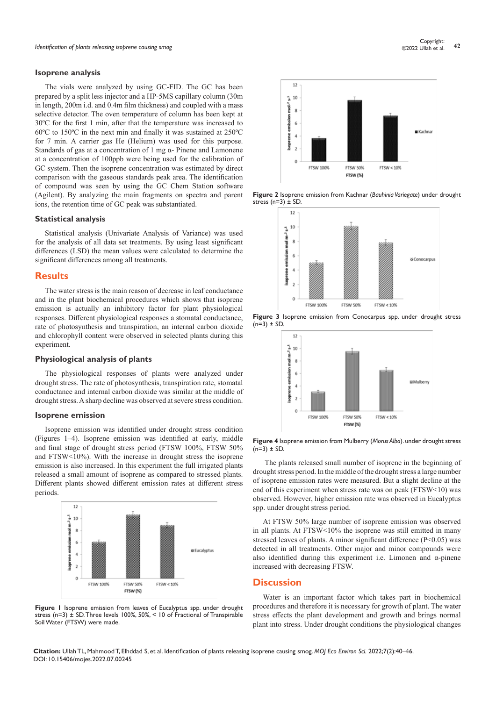#### **Isoprene analysis**

The vials were analyzed by using GC-FID. The GC has been prepared by a split less injector and a HP-5MS capillary column (30m in length, 200m i.d. and 0.4m film thickness) and coupled with a mass selective detector. The oven temperature of column has been kept at 30ºC for the first 1 min, after that the temperature was increased to 60ºC to 150ºC in the next min and finally it was sustained at 250ºC for 7 min. A carrier gas He (Helium) was used for this purpose. Standards of gas at a concentration of 1 mg α- Pinene and Lamonene at a concentration of 100ppb were being used for the calibration of GC system. Then the isoprene concentration was estimated by direct comparison with the gaseous standards peak area. The identification of compound was seen by using the GC Chem Station software (Agilent). By analyzing the main fragments on spectra and parent ions, the retention time of GC peak was substantiated.

#### **Statistical analysis**

Statistical analysis (Univariate Analysis of Variance) was used for the analysis of all data set treatments. By using least significant differences (LSD) the mean values were calculated to determine the significant differences among all treatments.

## **Results**

The water stress is the main reason of decrease in leaf conductance and in the plant biochemical procedures which shows that isoprene emission is actually an inhibitory factor for plant physiological responses. Different physiological responses a stomatal conductance, rate of photosynthesis and transpiration, an internal carbon dioxide and chlorophyll content were observed in selected plants during this experiment.

## **Physiological analysis of plants**

The physiological responses of plants were analyzed under drought stress. The rate of photosynthesis, transpiration rate, stomatal conductance and internal carbon dioxide was similar at the middle of drought stress. A sharp decline was observed at severe stress condition.

#### **Isoprene emission**

Isoprene emission was identified under drought stress condition (Figures 1–4). Isoprene emission was identified at early, middle and final stage of drought stress period (FTSW 100%, FTSW 50% and FTSW<10%). With the increase in drought stress the isoprene emission is also increased. In this experiment the full irrigated plants released a small amount of isoprene as compared to stressed plants. Different plants showed different emission rates at different stress periods.



**Figure 1** Isoprene emission from leaves of Eucalyptus spp. under drought stress (n=3) ± SD. Three levels 100%, 50%, < 10 of Fractional of Transpirable Soil Water (FTSW) were made.



**Figure 2** Isoprene emission from Kachnar (*Bauhinia Variegate*) under drought stress  $(n=3) \pm SD$ .









 The plants released small number of isoprene in the beginning of drought stress period. In the middle of the drought stress a large number of isoprene emission rates were measured. But a slight decline at the end of this experiment when stress rate was on peak (FTSW<10) was observed. However, higher emission rate was observed in Eucalyptus spp. under drought stress period.

At FTSW 50% large number of isoprene emission was observed in all plants. At FTSW<10% the isoprene was still emitted in many stressed leaves of plants. A minor significant difference  $(P<0.05)$  was detected in all treatments. Other major and minor compounds were also identified during this experiment i.e. Limonen and α-pinene increased with decreasing FTSW.

## **Discussion**

Water is an important factor which takes part in biochemical procedures and therefore it is necessary for growth of plant. The water stress effects the plant development and growth and brings normal plant into stress. Under drought conditions the physiological changes

**Citation:** Ullah TL, Mahmood T, Elhddad S, et al. Identification of plants releasing isoprene causing smog. *MOJ Eco Environ Sci.* 2022;7(2):40‒46. DOI: [10.15406/mojes.2022.07.00245](https://doi.org/10.15406/mojes.2022.07.00245)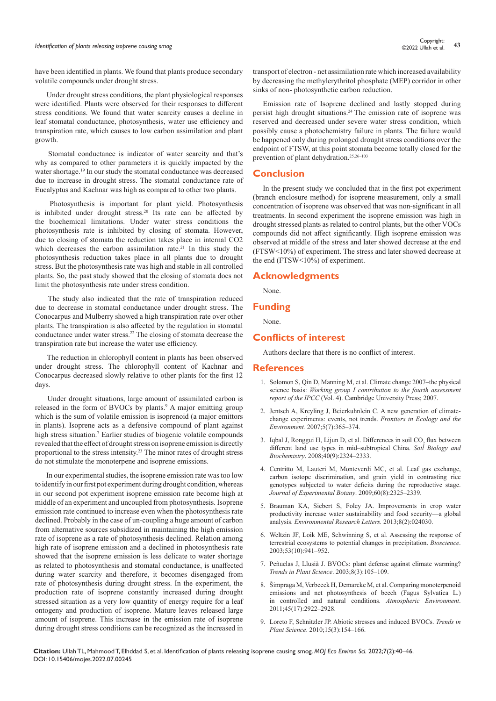## *Identification of plants releasing isoprene causing smog* and the state of plants releasing isoprene causing smog<br><sup>43</sup> *Identification of plants releasing isoprene causing smog*

have been identified in plants. We found that plants produce secondary volatile compounds under drought stress.

 Under drought stress conditions, the plant physiological responses were identified. Plants were observed for their responses to different stress conditions. We found that water scarcity causes a decline in leaf stomatal conductance, photosynthesis, water use efficiency and transpiration rate, which causes to low carbon assimilation and plant growth.

 Stomatal conductance is indicator of water scarcity and that's why as compared to other parameters it is quickly impacted by the water shortage.19 In our study the stomatal conductance was decreased due to increase in drought stress. The stomatal conductance rate of Eucalyptus and Kachnar was high as compared to other two plants.

 Photosynthesis is important for plant yield. Photosynthesis is inhibited under drought stress.20 Its rate can be affected by the biochemical limitations. Under water stress conditions the photosynthesis rate is inhibited by closing of stomata. However, due to closing of stomata the reduction takes place in internal CO2 which decreases the carbon assimilation rate.<sup>21</sup> In this study the photosynthesis reduction takes place in all plants due to drought stress. But the photosynthesis rate was high and stable in all controlled plants. So, the past study showed that the closing of stomata does not limit the photosynthesis rate under stress condition.

 The study also indicated that the rate of transpiration reduced due to decrease in stomatal conductance under drought stress. The Conocarpus and Mulberry showed a high transpiration rate over other plants. The transpiration is also affected by the regulation in stomatal conductance under water stress.<sup>22</sup> The closing of stomata decrease the transpiration rate but increase the water use efficiency.

 The reduction in chlorophyll content in plants has been observed under drought stress. The chlorophyll content of Kachnar and Conocarpus decreased slowly relative to other plants for the first 12 days.

 Under drought situations, large amount of assimilated carbon is released in the form of BVOCs by plants.<sup>9</sup> A major emitting group which is the sum of volatile emission is isoprenoid (a major emittors in plants). Isoprene acts as a defensive compound of plant against high stress situation.7 Earlier studies of biogenic volatile compounds revealed that the effect of drought stress on isoprene emission is directly proportional to the stress intensity.23 The minor rates of drought stress do not stimulate the monoterpene and isoprene emissions.

 In our experimental studies, the isoprene emission rate was too low to identify in our first pot experiment during drought condition, whereas in our second pot experiment isoprene emission rate become high at middle of an experiment and uncoupled from photosynthesis. Isoprene emission rate continued to increase even when the photosynthesis rate declined. Probably in the case of un-coupling a huge amount of carbon from alternative sources subsidized in maintaining the high emission rate of isoprene as a rate of photosynthesis declined. Relation among high rate of isoprene emission and a declined in photosynthesis rate showed that the isoprene emission is less delicate to water shortage as related to photosynthesis and stomatal conductance, is unaffected during water scarcity and therefore, it becomes disengaged from rate of photosynthesis during drought stress. In the experiment, the production rate of isoprene constantly increased during drought stressed situation as a very low quantity of energy require for a leaf ontogeny and production of isoprene. Mature leaves released large amount of isoprene. This increase in the emission rate of isoprene during drought stress conditions can be recognized as the increased in

transport of electron - net assimilation rate which increased availability by decreasing the methylerythritol phosphate (MEP) corridor in other sinks of non- photosynthetic carbon reduction.

Emission rate of Isoprene declined and lastly stopped during persist high drought situations.24 The emission rate of isoprene was reserved and decreased under severe water stress condition, which possibly cause a photochemistry failure in plants. The failure would be happened only during prolonged drought stress conditions over the endpoint of FTSW, at this point stomata become totally closed for the prevention of plant dehydration.25,26–103

## **Conclusion**

In the present study we concluded that in the first pot experiment (branch enclosure method) for isoprene measurement, only a small concentration of isoprene was observed that was non-significant in all treatments. In second experiment the isoprene emission was high in drought stressed plants as related to control plants, but the other VOCs compounds did not affect significantly. High isoprene emission was observed at middle of the stress and later showed decrease at the end (FTSW<10%) of experiment. The stress and later showed decrease at the end (FTSW<10%) of experiment.

## **Acknowledgments**

None.

## **Funding**

None.

## **Conflicts of interest**

Authors declare that there is no conflict of interest.

## **References**

- 1. [Solomon S, Qin D, Manning M, et al. Climate change 2007–the physical](https://www.ipcc.ch/report/ar4/wg1/)  science basis: *[Working group I contribution to the fourth assessment](https://www.ipcc.ch/report/ar4/wg1/)  report of the IPCC* [\(Vol. 4\). Cambridge University Press; 2007.](https://www.ipcc.ch/report/ar4/wg1/)
- 2. Jentsch A, Kreyling J, Beierkuhnlein C. A new generation of climate[change experiments: events, not trends.](https://esajournals.onlinelibrary.wiley.com/doi/10.1890/1540-9295%282007%295%5B365%3AANGOCE%5D2.0.CO%3B2) *Frontiers in Ecology and the Environment.* [2007;5\(7\):365–374.](https://esajournals.onlinelibrary.wiley.com/doi/10.1890/1540-9295%282007%295%5B365%3AANGOCE%5D2.0.CO%3B2)
- 3. Iqbal J, Ronggui H, Lijun D, et al. Differences in soil  $CO_2$  flux between [different land use types in mid–subtropical China.](https://www.sciencedirect.com/science/article/abs/pii/S003807170800165X) *Soil Biology and Biochemistry*[. 2008;40\(9\):2324–2333.](https://www.sciencedirect.com/science/article/abs/pii/S003807170800165X)
- 4. [Centritto M, Lauteri M, Monteverdi MC, et al. Leaf gas exchange,](https://academic.oup.com/jxb/article/60/8/2325/2114292)  [carbon isotope discrimination, and grain yield in contrasting rice](https://academic.oup.com/jxb/article/60/8/2325/2114292)  [genotypes subjected to water deficits during the reproductive stage.](https://academic.oup.com/jxb/article/60/8/2325/2114292)  *[Journal of Experimental Botany](https://academic.oup.com/jxb/article/60/8/2325/2114292)*. 2009;60(8):2325–2339.
- 5. [Brauman KA, Siebert S, Foley JA. Improvements in crop water](https://iopscience.iop.org/article/10.1088/1748-9326/8/2/024030)  [productivity increase water sustainability and food security—a global](https://iopscience.iop.org/article/10.1088/1748-9326/8/2/024030)  analysis. *[Environmental Research Letters.](https://iopscience.iop.org/article/10.1088/1748-9326/8/2/024030)* 2013;8(2):024030.
- 6. [Weltzin JF, Loik ME, Schwinning S, et al. Assessing the response of](https://academic.oup.com/bioscience/article/53/10/941/254914)  [terrestrial ecosystems to potential changes in precipitation.](https://academic.oup.com/bioscience/article/53/10/941/254914) *Bioscience*. [2003;53\(10\):941–952.](https://academic.oup.com/bioscience/article/53/10/941/254914)
- 7. [Peñuelas J, Llusià J. BVOCs: plant defense against climate warming?](https://pubmed.ncbi.nlm.nih.gov/12663219/)  *[Trends in Plant Science](https://pubmed.ncbi.nlm.nih.gov/12663219/)*. 2003;8(3):105–109.
- 8. [Šimpraga M, Verbeeck H, Demarcke M, et al. Comparing monoterpenoid](https://ui.adsabs.harvard.edu/abs/2011AtmEn..45.2922S/abstract)  [emissions and net photosynthesis of beech \(Fagus Sylvatica L.\)](https://ui.adsabs.harvard.edu/abs/2011AtmEn..45.2922S/abstract)  [in controlled and natural conditions.](https://ui.adsabs.harvard.edu/abs/2011AtmEn..45.2922S/abstract) *Atmospheric Environment*. [2011;45\(17\):2922–2928.](https://ui.adsabs.harvard.edu/abs/2011AtmEn..45.2922S/abstract)
- 9. [Loreto F, Schnitzler JP. Abiotic stresses and induced BVOCs.](https://www.sciencedirect.com/science/article/abs/pii/S1360138509003203) *Trends in Plant Science*[. 2010;15\(3\):154–166.](https://www.sciencedirect.com/science/article/abs/pii/S1360138509003203)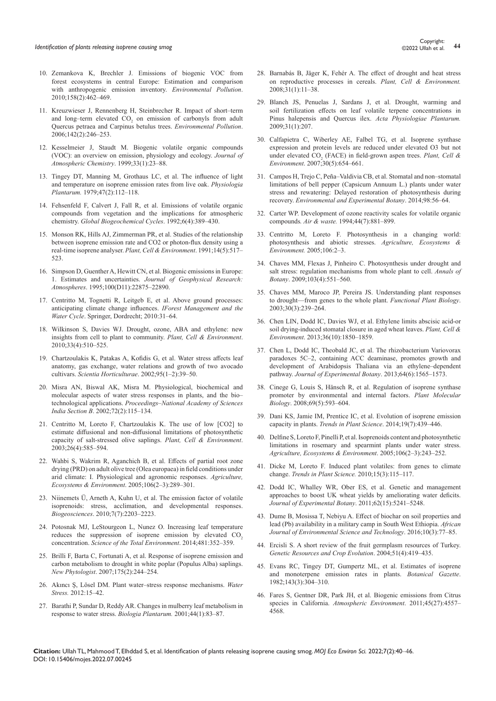- 10. [Zemankova K, Brechler J. Emissions of biogenic VOC from](https://pubmed.ncbi.nlm.nih.gov/19773106/)  [forest ecosystems in central Europe: Estimation and comparison](https://pubmed.ncbi.nlm.nih.gov/19773106/)  [with anthropogenic emission inventory.](https://pubmed.ncbi.nlm.nih.gov/19773106/) *Environmental Pollution*. [2010;158\(2\):462–469.](https://pubmed.ncbi.nlm.nih.gov/19773106/)
- 11. [Kreuzwieser J, Rennenberg H, Steinbrecher R. Impact of short–term](https://hero.epa.gov/hero/index.cfm/reference/details/reference_id/3386626)  and long-term elevated  $CO_2$  on emission of carbonyls from adult [Quercus petraea and Carpinus betulus trees.](https://hero.epa.gov/hero/index.cfm/reference/details/reference_id/3386626) *Environmental Pollution*. [2006;142\(2\):246–253.](https://hero.epa.gov/hero/index.cfm/reference/details/reference_id/3386626)
- 12. [Kesselmeier J, Staudt M. Biogenic volatile organic compounds](https://link.springer.com/article/10.1023/A:1006127516791)  [\(VOC\): an overview on emission, physiology and ecology.](https://link.springer.com/article/10.1023/A:1006127516791) *Journal of [Atmospheric Chemistry](https://link.springer.com/article/10.1023/A:1006127516791)*. 1999;33(1):23–88.
- 13. [Tingey DT, Manning M, Grothaus LC, et al. The influence of light](https://onlinelibrary.wiley.com/doi/10.1111/j.1399-3054.1979.tb03200.x)  [and temperature on isoprene emission rates from live oak.](https://onlinelibrary.wiley.com/doi/10.1111/j.1399-3054.1979.tb03200.x) *Physiologia Plantarum.* [1979;47\(2\):112–118.](https://onlinelibrary.wiley.com/doi/10.1111/j.1399-3054.1979.tb03200.x)
- 14. [Fehsenfeld F, Calvert J, Fall R, et al. Emissions of volatile organic](https://agupubs.onlinelibrary.wiley.com/doi/abs/10.1029/92GB02125)  [compounds from vegetation and the implications for atmospheric](https://agupubs.onlinelibrary.wiley.com/doi/abs/10.1029/92GB02125)  chemistry. *[Global Biogeochemical Cycles](https://agupubs.onlinelibrary.wiley.com/doi/abs/10.1029/92GB02125)*. 1992;6(4):389–430.
- 15. [Monson RK, Hills AJ, Zimmerman PR, et al. Studies of the relationship](https://onlinelibrary.wiley.com/doi/10.1111/j.1365-3040.1991.tb01522.x)  [between isoprene emission rate and CO2 or photon‐flux density using a](https://onlinelibrary.wiley.com/doi/10.1111/j.1365-3040.1991.tb01522.x)  [real‐time isoprene analyser.](https://onlinelibrary.wiley.com/doi/10.1111/j.1365-3040.1991.tb01522.x) *Plant, Cell & Environment*. 1991;14(5):517– [523.](https://onlinelibrary.wiley.com/doi/10.1111/j.1365-3040.1991.tb01522.x)
- 16. [Simpson D, Guenther A, Hewitt CN, et al. Biogenic emissions in Europe:](https://agupubs.onlinelibrary.wiley.com/doi/abs/10.1029/95JD02368)  1. Estimates and uncertainties. *[Journal of Geophysical Research:](https://agupubs.onlinelibrary.wiley.com/doi/abs/10.1029/95JD02368)  Atmospheres*[. 1995;100\(D11\):22875–22890.](https://agupubs.onlinelibrary.wiley.com/doi/abs/10.1029/95JD02368)
- 17. [Centritto M, Tognetti R, Leitgeb E, et al. Above ground processes:](https://link.springer.com/chapter/10.1007/978-90-481-9834-4_3?noAccess=true)  [anticipating climate change influences.](https://link.springer.com/chapter/10.1007/978-90-481-9834-4_3?noAccess=true) *IForest Management and the Water Cycle*[. Springer, Dordrecht; 2010:31–64.](https://link.springer.com/chapter/10.1007/978-90-481-9834-4_3?noAccess=true)
- 18. [Wilkinson S, Davies WJ. Drought, ozone, ABA and ethylene: new](https://pubmed.ncbi.nlm.nih.gov/19843256/)  [insights from cell to plant to community.](https://pubmed.ncbi.nlm.nih.gov/19843256/) *Plant, Cell & Environment*. [2010;33\(4\):510–525.](https://pubmed.ncbi.nlm.nih.gov/19843256/)
- 19. [Chartzoulakis K, Patakas A, Kofidis G, et al. Water stress affects leaf](https://www.sciencedirect.com/science/article/abs/pii/S030442380200016X)  [anatomy, gas exchange, water relations and growth of two avocado](https://www.sciencedirect.com/science/article/abs/pii/S030442380200016X)  cultivars. *[Scientia Horticulturae](https://www.sciencedirect.com/science/article/abs/pii/S030442380200016X)*. 2002;95(1–2):39–50.
- 20. [Misra AN, Biswal AK, Misra M. Physiological, biochemical and](http://forest.jharkhand.gov.in/fresearch/admin/file/research_384.pdf)  [molecular aspects of water stress responses in plants, and the bio–](http://forest.jharkhand.gov.in/fresearch/admin/file/research_384.pdf) technological applications. *[Proceedings–National Academy of Sciences](http://forest.jharkhand.gov.in/fresearch/admin/file/research_384.pdf)  India Section B*[. 2002;72\(2\):115–134.](http://forest.jharkhand.gov.in/fresearch/admin/file/research_384.pdf)
- 21. [Centritto M, Loreto F, Chartzoulakis K. The use of low \[CO2\] to](https://onlinelibrary.wiley.com/doi/10.1046/j.1365-3040.2003.00993.x)  [estimate diffusional and non‐diffusional limitations of photosynthetic](https://onlinelibrary.wiley.com/doi/10.1046/j.1365-3040.2003.00993.x)  [capacity of salt‐stressed olive saplings.](https://onlinelibrary.wiley.com/doi/10.1046/j.1365-3040.2003.00993.x) *Plant, Cell & Environment*. [2003;26\(4\):585–594.](https://onlinelibrary.wiley.com/doi/10.1046/j.1365-3040.2003.00993.x)
- 22. [Wahbi S, Wakrim R, Aganchich B, et al. Effects of partial root zone](https://www.sciencedirect.com/science/article/abs/pii/S0167880904003068)  [drying \(PRD\) on adult olive tree \(Olea europaea\) in field conditions under](https://www.sciencedirect.com/science/article/abs/pii/S0167880904003068)  [arid climate: I. Physiological and agronomic responses.](https://www.sciencedirect.com/science/article/abs/pii/S0167880904003068) *Agriculture, [Ecosystems & Environment](https://www.sciencedirect.com/science/article/abs/pii/S0167880904003068)*. 2005;106(2–3):289–301.
- 23. [Niinemets Ü, Arneth A, Kuhn U, et al. The emission factor of volatile](https://bg.copernicus.org/articles/7/2203/2010/)  [isoprenoids: stress, acclimation, and developmental responses.](https://bg.copernicus.org/articles/7/2203/2010/)  *Biogeosciences*[. 2010;7\(7\):2203–2223.](https://bg.copernicus.org/articles/7/2203/2010/)
- 24. [Potosnak MJ, LeStourgeon L, Nunez O. Increasing leaf temperature](https://pubmed.ncbi.nlm.nih.gov/24614154/)  reduces the suppression of isoprene emission by elevated CO<sub>2</sub> concentration. *[Science of the Total Environment](https://pubmed.ncbi.nlm.nih.gov/24614154/)*. 2014;481:352–359.
- 25. [Brilli F, Barta C, Fortunati A, et al. Response of isoprene emission and](https://pubmed.ncbi.nlm.nih.gov/17407542/)  [carbon metabolism to drought in white poplar \(Populus Alba\) saplings.](https://pubmed.ncbi.nlm.nih.gov/17407542/)  *New Phytologist*[. 2007;175\(2\):244–254.](https://pubmed.ncbi.nlm.nih.gov/17407542/)
- 26. [Akıncı Ş, Lösel DM. Plant water–stress response mechanisms.](https://link.springer.com/chapter/10.1007/978-81-322-1620-9_8) *Water Stress.* [2012:15–42.](https://link.springer.com/chapter/10.1007/978-81-322-1620-9_8)
- 27. [Barathi P, Sundar D, Reddy AR. Changes in mulberry leaf metabolism in](https://link.springer.com/article/10.1023/A:1017974405676)  [response to water stress.](https://link.springer.com/article/10.1023/A:1017974405676) *Biologia Plantarum.* 2001;44(1):83–87.
- 28. [Barnabás B, Jäger K, Fehér A. The effect of drought and heat stress](https://pubmed.ncbi.nlm.nih.gov/17971069/)  [on reproductive processes in cereals.](https://pubmed.ncbi.nlm.nih.gov/17971069/) *Plant, Cell & Environment.*  [2008;31\(1\):11–38.](https://pubmed.ncbi.nlm.nih.gov/17971069/)
- 29. [Blanch JS, Penuelas J, Sardans J, et al. Drought, warming and](http://citeseerx.ist.psu.edu/viewdoc/download?doi=10.1.1.470.9326&rep=rep1&type=pdf)  [soil fertilization effects on leaf volatile terpene concentrations in](http://citeseerx.ist.psu.edu/viewdoc/download?doi=10.1.1.470.9326&rep=rep1&type=pdf)  [Pinus halepensis and Quercus ilex.](http://citeseerx.ist.psu.edu/viewdoc/download?doi=10.1.1.470.9326&rep=rep1&type=pdf) *Acta Physiologiae Plantarum.*  [2009;31\(1\):207.](http://citeseerx.ist.psu.edu/viewdoc/download?doi=10.1.1.470.9326&rep=rep1&type=pdf)
- 30. [Calfapietra C, Wiberley AE, Falbel TG, et al. Isoprene synthase](https://pubmed.ncbi.nlm.nih.gov/17407542/)  [expression and protein levels are reduced under elevated O3 but not](https://pubmed.ncbi.nlm.nih.gov/17407542/)  under elevated CO<sub>2</sub> (FACE) in field-grown aspen trees. *Plant, Cell & Environment*[. 2007;30\(5\):654–661.](https://pubmed.ncbi.nlm.nih.gov/17407542/)
- 31. [Campos H, Trejo C, Peña–Valdivia CB, et al. Stomatal and non–stomatal](https://pubag.nal.usda.gov/catalog/5328983)  [limitations of bell pepper \(Capsicum Annuum L.\) plants under water](https://pubag.nal.usda.gov/catalog/5328983)  [stress and rewatering: Delayed restoration of photosynthesis during](https://pubag.nal.usda.gov/catalog/5328983)  recovery. *[Environmental and Experimental Botany](https://pubag.nal.usda.gov/catalog/5328983)*. 2014;98:56–64.
- 32. [Carter WP. Development of ozone reactivity scales for volatile organic](https://www.tandfonline.com/doi/abs/10.1080/1073161X.1994.10467290)  compounds*. Air & waste.* [1994;44\(7\):881–899.](https://www.tandfonline.com/doi/abs/10.1080/1073161X.1994.10467290)
- 33. [Centritto M, Loreto F. Photosynthesis in a changing world:](https://agris.fao.org/agris-search/search.do?recordID=US201300993703)  [photosynthesis and abiotic stresses.](https://agris.fao.org/agris-search/search.do?recordID=US201300993703) *Agriculture, Ecosystems & Environment.* [2005;106:2–3.](https://agris.fao.org/agris-search/search.do?recordID=US201300993703)
- 34. [Chaves MM, Flexas J, Pinheiro C. Photosynthesis under drought and](https://academic.oup.com/aob/article/103/4/551/164096)  [salt stress: regulation mechanisms from whole plant to cell.](https://academic.oup.com/aob/article/103/4/551/164096) *Annals of Botany*[. 2009;103\(4\):551–560.](https://academic.oup.com/aob/article/103/4/551/164096)
- 35. [Chaves MM, Maroco JP, Pereira JS. Understanding plant responses](https://pubmed.ncbi.nlm.nih.gov/32689007/)  [to drought—from genes to the whole plant.](https://pubmed.ncbi.nlm.nih.gov/32689007/) *Functional Plant Biology*. [2003;30\(3\):239–264.](https://pubmed.ncbi.nlm.nih.gov/32689007/)
- 36. [Chen LIN, Dodd IC, Davies WJ, et al. Ethylene limits abscisic acid‐or](https://pubmed.ncbi.nlm.nih.gov/23488478/)  [soil drying‐induced stomatal closure in aged wheat leaves.](https://pubmed.ncbi.nlm.nih.gov/23488478/) *Plant, Cell & Environment*[. 2013;36\(10\):1850–1859.](https://pubmed.ncbi.nlm.nih.gov/23488478/)
- 37. [Chen L, Dodd IC, Theobald JC, et al. The rhizobacterium Variovorax](https://pubmed.ncbi.nlm.nih.gov/23404897/)  [paradoxes 5C–2, containing ACC deaminase, promotes growth and](https://pubmed.ncbi.nlm.nih.gov/23404897/)  [development of Arabidopsis Thaliana via an ethylene–dependent](https://pubmed.ncbi.nlm.nih.gov/23404897/)  pathway. *[Journal of Experimental Botany](https://pubmed.ncbi.nlm.nih.gov/23404897/)*. 2013;64(6):1565–1573.
- 38. [Cinege G, Louis S, Hänsch R, et al. Regulation of isoprene synthase](https://pubmed.ncbi.nlm.nih.gov/19067180/)  [promoter by environmental and internal factors.](https://pubmed.ncbi.nlm.nih.gov/19067180/) *Plant Molecular Biology*[. 2008;69\(5\):593–604.](https://pubmed.ncbi.nlm.nih.gov/19067180/)
- 39. [Dani KS, Jamie IM, Prentice IC, et al. Evolution of isoprene emission](https://pubmed.ncbi.nlm.nih.gov/24582468/)  capacity in plants. *[Trends in Plant Science](https://pubmed.ncbi.nlm.nih.gov/24582468/)*. 2014;19(7):439–446.
- 40. [Delfine S, Loreto F, Pinelli P, et al. Isoprenoids content and photosynthetic](https://www.infona.pl/resource/bwmeta1.element.elsevier-7fcfd90b-4141-314b-8d36-344f49d0ee0e)  [limitations in rosemary and spearmint plants under water stress.](https://www.infona.pl/resource/bwmeta1.element.elsevier-7fcfd90b-4141-314b-8d36-344f49d0ee0e)  *[Agriculture, Ecosystems & Environment](https://www.infona.pl/resource/bwmeta1.element.elsevier-7fcfd90b-4141-314b-8d36-344f49d0ee0e)*. 2005;106(2–3):243–252.
- 41. [Dicke M, Loreto F. Induced plant volatiles: from genes to climate](https://pubmed.ncbi.nlm.nih.gov/20137997/)  change. *[Trends in Plant Science.](https://pubmed.ncbi.nlm.nih.gov/20137997/)* 2010;15(3):115–117.
- 42. [Dodd IC, Whalley WR, Ober ES, et al. Genetic and management](https://pubmed.ncbi.nlm.nih.gov/21890835/)  [approaches to boost UK wheat yields by ameliorating water deficits.](https://pubmed.ncbi.nlm.nih.gov/21890835/)  *[Journal of Experimental Botany](https://pubmed.ncbi.nlm.nih.gov/21890835/)*. 2011;62(15):5241–5248.
- 43. [Dume B, Mosissa T, Nebiyu A. Effect of biochar on soil properties and](https://www.ajol.info/index.php/ajest/article/view/132823)  [lead \(Pb\) availability in a military camp in South West Ethiopia.](https://www.ajol.info/index.php/ajest/article/view/132823) *African [Journal of Environmental Science and Technology](https://www.ajol.info/index.php/ajest/article/view/132823)*. 2016;10(3):77–85.
- 44. [Ercisli S. A short review of the fruit germplasm resources of Turkey.](https://link.springer.com/article/10.1023/B:GRES.0000023458.60138.79)  *[Genetic Resources and Crop Evolution](https://link.springer.com/article/10.1023/B:GRES.0000023458.60138.79)*. 2004;51(4):419–435.
- 45. [Evans RC, Tingey DT, Gumpertz ML, et al. Estimates of isoprene](https://www.jstor.org/stable/2474826)  [and monoterpene emission rates in plants.](https://www.jstor.org/stable/2474826) *Botanical Gazette*. [1982;143\(3\):304–310.](https://www.jstor.org/stable/2474826)
- 46. [Fares S, Gentner DR, Park JH, et al. Biogenic emissions from Citrus](https://www.sciencedirect.com/science/article/abs/pii/S1352231011005838)  species in California. *[Atmospheric Environment](https://www.sciencedirect.com/science/article/abs/pii/S1352231011005838)*. 2011;45(27):4557– [4568.](https://www.sciencedirect.com/science/article/abs/pii/S1352231011005838)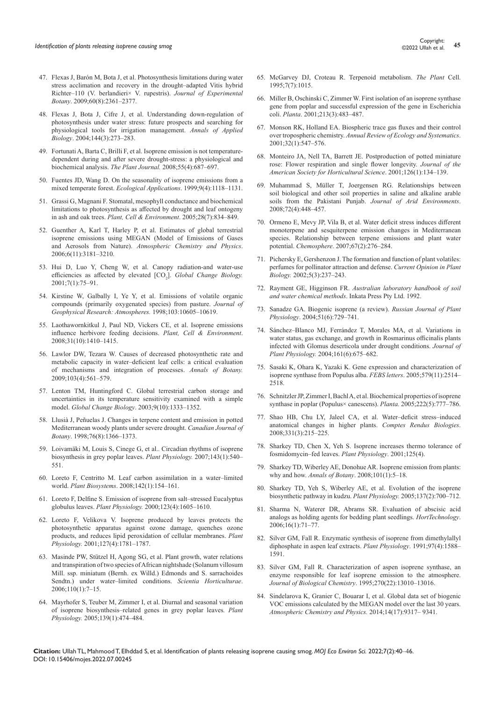- 47. [Flexas J, Barón M, Bota J, et al. Photosynthesis limitations during water](https://academic.oup.com/jxb/article/60/8/2361/2112096)  [stress acclimation and recovery in the drought–adapted Vitis hybrid](https://academic.oup.com/jxb/article/60/8/2361/2112096)  [Richter–110 \(V. berlandieri× V. rupestris\).](https://academic.oup.com/jxb/article/60/8/2361/2112096) *Journal of Experimental Botany*[. 2009;60\(8\):2361–2377.](https://academic.oup.com/jxb/article/60/8/2361/2112096)
- 48. [Flexas J, Bota J, Cifre J, et al. Understanding down‐regulation of](https://onlinelibrary.wiley.com/doi/10.1111/j.1744-7348.2004.tb00343.x)  [photosynthesis under water stress: future prospects and searching for](https://onlinelibrary.wiley.com/doi/10.1111/j.1744-7348.2004.tb00343.x)  [physiological tools for irrigation management.](https://onlinelibrary.wiley.com/doi/10.1111/j.1744-7348.2004.tb00343.x) *Annals of Applied Biology*[. 2004;144\(3\):273–283.](https://onlinelibrary.wiley.com/doi/10.1111/j.1744-7348.2004.tb00343.x)
- 49. [Fortunati A, Barta C, Brilli F, et al. Isoprene emission is not temperature‐](https://pubmed.ncbi.nlm.nih.gov/18445130/) [dependent during and after severe drought‐stress: a physiological and](https://pubmed.ncbi.nlm.nih.gov/18445130/)  [biochemical analysis.](https://pubmed.ncbi.nlm.nih.gov/18445130/) *The Plant Journal.* 2008;55(4):687–697.
- 50. [Fuentes JD, Wang D. On the seasonality of isoprene emissions from a](https://www.jstor.org/stable/2641382)  [mixed temperate forest.](https://www.jstor.org/stable/2641382) *Ecological Applications*. 1999;9(4):1118–1131.
- 51. [Grassi G, Magnani F. Stomatal, mesophyll conductance and biochemical](https://onlinelibrary.wiley.com/doi/10.1111/j.1365-3040.2005.01333.x)  [limitations to photosynthesis as affected by drought and leaf ontogeny](https://onlinelibrary.wiley.com/doi/10.1111/j.1365-3040.2005.01333.x)  in ash and oak trees. *[Plant, Cell & Environment](https://onlinelibrary.wiley.com/doi/10.1111/j.1365-3040.2005.01333.x)*. 2005;28(7):834–849.
- 52. [Guenther A, Karl T, Harley P, et al. Estimates of global terrestrial](https://acp.copernicus.org/articles/6/3181/2006/)  [isoprene emissions using MEGAN \(Model of Emissions of Gases](https://acp.copernicus.org/articles/6/3181/2006/)  and Aerosols from Nature). *[Atmospheric Chemistry and Physics](https://acp.copernicus.org/articles/6/3181/2006/)*. [2006;6\(11\):3181–3210.](https://acp.copernicus.org/articles/6/3181/2006/)
- 53. Hui D, Luo Y, Cheng W, et al. Canopy radiation-and water-use [efficiencies as affected by elevated \[CO](https://www.dri.edu/publication/3498/)<sub>2</sub>]. *Global Change Biology*. [2001;7\(1\):75–91.](https://www.dri.edu/publication/3498/)
- 54. [Kirstine W, Galbally I, Ye Y, et al. Emissions of volatile organic](https://ui.adsabs.harvard.edu/abs/1998JGR...10310605K/abstract)  [compounds \(primarily oxygenated species\) from pasture.](https://ui.adsabs.harvard.edu/abs/1998JGR...10310605K/abstract) *Journal of [Geophysical Research: Atmospheres.](https://ui.adsabs.harvard.edu/abs/1998JGR...10310605K/abstract)* 1998;103:10605–10619.
- 55. [Laothawornkitkul J, Paul ND, Vickers CE, et al. Isoprene emissions](https://pubmed.ncbi.nlm.nih.gov/18643955/)  [influence herbivore feeding decisions.](https://pubmed.ncbi.nlm.nih.gov/18643955/) *Plant, Cell & Environment*. [2008;31\(10\):1410–1415.](https://pubmed.ncbi.nlm.nih.gov/18643955/)
- 56. [Lawlor DW, Tezara W. Causes of decreased photosynthetic rate and](https://www.ncbi.nlm.nih.gov/pmc/articles/PMC2707350/)  [metabolic capacity in water–deficient leaf cells: a critical evaluation](https://www.ncbi.nlm.nih.gov/pmc/articles/PMC2707350/)  [of mechanisms and integration of processes.](https://www.ncbi.nlm.nih.gov/pmc/articles/PMC2707350/) *Annals of Botany.* [2009;103\(4\):561–579.](https://www.ncbi.nlm.nih.gov/pmc/articles/PMC2707350/)
- 57. [Lenton TM, Huntingford C. Global terrestrial carbon storage and](https://onlinelibrary.wiley.com/doi/abs/10.1046/j.1365-2486.2003.00674.x)  [uncertainties in its temperature sensitivity examined with a simple](https://onlinelibrary.wiley.com/doi/abs/10.1046/j.1365-2486.2003.00674.x)  model. *Global Change Biology*[. 2003;9\(10\):1333–1352.](https://onlinelibrary.wiley.com/doi/abs/10.1046/j.1365-2486.2003.00674.x)
- 58. [Llusià J, Peñuelas J. Changes in terpene content and emission in potted](https://cdnsciencepub.com/doi/10.1139/b98-141)  [Mediterranean woody plants under severe drought.](https://cdnsciencepub.com/doi/10.1139/b98-141) *Canadian Journal of Botany*[. 1998;76\(8\):1366–1373.](https://cdnsciencepub.com/doi/10.1139/b98-141)
- 59. [Loivamäki M, Louis S, Cinege G, et al.. Circadian rhythms of isoprene](https://academic.oup.com/plphys/article/143/1/540/6106818)  [biosynthesis in grey poplar leaves.](https://academic.oup.com/plphys/article/143/1/540/6106818) *Plant Physiology.* 2007;143(1):540– [551.](https://academic.oup.com/plphys/article/143/1/540/6106818)
- 60. [Loreto F, Centritto M. Leaf carbon assimilation in a water–limited](https://www.tandfonline.com/doi/abs/10.1080/11263500701872937)  world. *Plant Biosystems*[. 2008;142\(1\):154–161.](https://www.tandfonline.com/doi/abs/10.1080/11263500701872937)
- 61. [Loreto F, Delfine S. Emission of isoprene from salt–stressed Eucalyptus](https://academic.oup.com/plphys/article/123/4/1605/6098833)  globulus leaves. *Plant Physiology.* [2000;123\(4\):1605–1610.](https://academic.oup.com/plphys/article/123/4/1605/6098833)
- 62. [Loreto F, Velikova V. Isoprene produced by leaves protects the](https://academic.oup.com/plphys/article/127/4/1781/6103640)  [photosynthetic apparatus against ozone damage, quenches ozone](https://academic.oup.com/plphys/article/127/4/1781/6103640)  [products, and reduces lipid peroxidation of cellular membranes.](https://academic.oup.com/plphys/article/127/4/1781/6103640) *Plant Physiology.* [2001;127\(4\):1781–1787.](https://academic.oup.com/plphys/article/127/4/1781/6103640)
- 63. [Masinde PW, Stützel H, Agong SG, et al. Plant growth, water relations](file:///C:/Users/Web01/Documents/MOJES-22-RA-470_W%20(2)/MOJES-22-RA-470_W/1.%09Masinde%20PW,%20Stützel%20H,%20Agong%20SG,%20et%20al.%20Plant%20growth,%20water%20relations%20and%20transpiration%20of%20two%20species%20of%20African%20nightshade%20(Solanum%20villosum%20Mill.%20ssp.%20miniatum%20(Bernh.%20ex%20Willd.)%20Edmonds%20and%20S.%20sarrachoides%20Sendtn.)%20under%20water–limited%20conditions.%20Scientia%20Horticulturae.%202006;110(1):7–15.)  [and transpiration of two species of African nightshade \(Solanum villosum](file:///C:/Users/Web01/Documents/MOJES-22-RA-470_W%20(2)/MOJES-22-RA-470_W/1.%09Masinde%20PW,%20Stützel%20H,%20Agong%20SG,%20et%20al.%20Plant%20growth,%20water%20relations%20and%20transpiration%20of%20two%20species%20of%20African%20nightshade%20(Solanum%20villosum%20Mill.%20ssp.%20miniatum%20(Bernh.%20ex%20Willd.)%20Edmonds%20and%20S.%20sarrachoides%20Sendtn.)%20under%20water–limited%20conditions.%20Scientia%20Horticulturae.%202006;110(1):7–15.)  [Mill. ssp. miniatum \(Bernh. ex Willd.\) Edmonds and S. sarrachoides](file:///C:/Users/Web01/Documents/MOJES-22-RA-470_W%20(2)/MOJES-22-RA-470_W/1.%09Masinde%20PW,%20Stützel%20H,%20Agong%20SG,%20et%20al.%20Plant%20growth,%20water%20relations%20and%20transpiration%20of%20two%20species%20of%20African%20nightshade%20(Solanum%20villosum%20Mill.%20ssp.%20miniatum%20(Bernh.%20ex%20Willd.)%20Edmonds%20and%20S.%20sarrachoides%20Sendtn.)%20under%20water–limited%20conditions.%20Scientia%20Horticulturae.%202006;110(1):7–15.)  [Sendtn.\) under water–limited conditions.](file:///C:/Users/Web01/Documents/MOJES-22-RA-470_W%20(2)/MOJES-22-RA-470_W/1.%09Masinde%20PW,%20Stützel%20H,%20Agong%20SG,%20et%20al.%20Plant%20growth,%20water%20relations%20and%20transpiration%20of%20two%20species%20of%20African%20nightshade%20(Solanum%20villosum%20Mill.%20ssp.%20miniatum%20(Bernh.%20ex%20Willd.)%20Edmonds%20and%20S.%20sarrachoides%20Sendtn.)%20under%20water–limited%20conditions.%20Scientia%20Horticulturae.%202006;110(1):7–15.) *Scientia Horticulturae*. [2006;110\(1\):7–15.](file:///C:/Users/Web01/Documents/MOJES-22-RA-470_W%20(2)/MOJES-22-RA-470_W/1.%09Masinde%20PW,%20Stützel%20H,%20Agong%20SG,%20et%20al.%20Plant%20growth,%20water%20relations%20and%20transpiration%20of%20two%20species%20of%20African%20nightshade%20(Solanum%20villosum%20Mill.%20ssp.%20miniatum%20(Bernh.%20ex%20Willd.)%20Edmonds%20and%20S.%20sarrachoides%20Sendtn.)%20under%20water–limited%20conditions.%20Scientia%20Horticulturae.%202006;110(1):7–15.)
- 64. [Mayrhofer S, Teuber M, Zimmer I, et al. Diurnal and seasonal variation](https://pubmed.ncbi.nlm.nih.gov/16126852/)  [of isoprene biosynthesis–related genes in grey poplar leaves](https://pubmed.ncbi.nlm.nih.gov/16126852/)*. Plant Physiology.* [2005;139\(1\):474–484.](https://pubmed.ncbi.nlm.nih.gov/16126852/)
- 65. [McGarvey DJ, Croteau R. Terpenoid metabolism.](https://www.ncbi.nlm.nih.gov/pmc/articles/PMC160903/) *The Plant* Cell. [1995;7\(7\):1015.](https://www.ncbi.nlm.nih.gov/pmc/articles/PMC160903/)
- 66. [Miller B, Oschinski C, Zimmer W. First isolation of an isoprene synthase](https://pubmed.ncbi.nlm.nih.gov/11506373/)  [gene from poplar and successful expression of the gene in Escherichia](https://pubmed.ncbi.nlm.nih.gov/11506373/)  coli. *Planta*[. 2001;213\(3\):483–487.](https://pubmed.ncbi.nlm.nih.gov/11506373/)
- 67. [Monson RK, Holland EA. Biospheric trace gas fluxes and their control](https://www.annualreviews.org/doi/abs/10.1146/annurev.ecolsys.32.081501.114136)  over tropospheric chemistry. *[Annual Review of Ecology and Systematics](https://www.annualreviews.org/doi/abs/10.1146/annurev.ecolsys.32.081501.114136)*. [2001;32\(1\):547–576.](https://www.annualreviews.org/doi/abs/10.1146/annurev.ecolsys.32.081501.114136)
- 68. [Monteiro JA, Nell TA, Barrett JE. Postproduction of potted miniature](https://sapientia.ualg.pt/handle/10400.1/2070)  [rose: Flower respiration and single flower longevity.](https://sapientia.ualg.pt/handle/10400.1/2070) *Journal of the [American Society for Horticultural Science](https://sapientia.ualg.pt/handle/10400.1/2070)*. 2001;126(1):134–139.
- 69. [Muhammad S, Müller T, Joergensen RG. Relationships between](https://agris.fao.org/agris-search/search.do?recordID=US201300872811)  [soil biological and other soil properties in saline and alkaline arable](https://agris.fao.org/agris-search/search.do?recordID=US201300872811)  [soils from the Pakistani Punjab.](https://agris.fao.org/agris-search/search.do?recordID=US201300872811) *Journal of Arid Environments*. [2008;72\(4\):448–457.](https://agris.fao.org/agris-search/search.do?recordID=US201300872811)
- 70. [Ormeno E, Mevy JP, Vila B, et al. Water deficit stress induces different](https://pubmed.ncbi.nlm.nih.gov/17156816/)  [monoterpene and sesquiterpene emission changes in Mediterranean](https://pubmed.ncbi.nlm.nih.gov/17156816/)  [species. Relationship between terpene emissions and plant water](https://pubmed.ncbi.nlm.nih.gov/17156816/)  potential. *Chemosphere*[. 2007;67\(2\):276–284.](https://pubmed.ncbi.nlm.nih.gov/17156816/)
- 71. [Pichersky E, Gershenzon J. The formation and function of plant volatiles:](https://pubmed.ncbi.nlm.nih.gov/11960742/)  [perfumes for pollinator attraction and defense.](https://pubmed.ncbi.nlm.nih.gov/11960742/) *Current Opinion in Plant Biology.* [2002;5\(3\):237–243.](https://pubmed.ncbi.nlm.nih.gov/11960742/)
- 72. Rayment GE, Higginson FR. *[Australian laboratory handbook of soil](https://www.worldcat.org/title/australian-laboratory-handbook-of-soil-and-water-chemical-methods/oclc/27119493)  [and water chemical methods](https://www.worldcat.org/title/australian-laboratory-handbook-of-soil-and-water-chemical-methods/oclc/27119493)*. Inkata Press Pty Ltd. 1992.
- 73. [Sanadze GA. Biogenic isoprene \(a review\).](https://link.springer.com/article/10.1023/B:RUPP.0000047821.63354.a4) *Russian Journal of Plant Physiology*[. 2004;51\(6\):729–741.](https://link.springer.com/article/10.1023/B:RUPP.0000047821.63354.a4)
- 74. [Sánchez–Blanco MJ, Ferrández T, Morales MA, et al. Variations in](https://pubmed.ncbi.nlm.nih.gov/15266714/)  [water status, gas exchange, and growth in Rosmarinus officinalis plants](https://pubmed.ncbi.nlm.nih.gov/15266714/)  [infected with Glomus deserticola under drought conditions.](https://pubmed.ncbi.nlm.nih.gov/15266714/) *Journal of Plant Physiology.* [2004;161\(6\):675–682.](https://pubmed.ncbi.nlm.nih.gov/15266714/)
- 75. [Sasaki K, Ohara K, Yazaki K. Gene expression and characterization of](https://pubmed.ncbi.nlm.nih.gov/15848197/)  [isoprene synthase from Populus alba.](https://pubmed.ncbi.nlm.nih.gov/15848197/) *FEBS letters*. 2005;579(11):2514– [2518.](https://pubmed.ncbi.nlm.nih.gov/15848197/)
- 76. [Schnitzler JP, Zimmer I, Bachl A, et al. Biochemical properties of isoprene](https://pubmed.ncbi.nlm.nih.gov/15848197/)  [synthase in poplar \(Populus× canescens\).](https://pubmed.ncbi.nlm.nih.gov/15848197/) *Planta.* 2005;222(5):777–786.
- 77. [Shao HB, Chu LY, Jaleel CA, et al. Water–deficit stress–induced](https://www.sciencedirect.com/science/article/pii/S1631069108000048)  [anatomical changes in higher plants.](https://www.sciencedirect.com/science/article/pii/S1631069108000048) *Comptes Rendus Biologies*. [2008;331\(3\):215–225.](https://www.sciencedirect.com/science/article/pii/S1631069108000048)
- 78. [Sharkey TD, Chen X, Yeh S. Isoprene increases thermo tolerance of](https://pubmed.ncbi.nlm.nih.gov/11299379/)  [fosmidomycin–fed leaves.](https://pubmed.ncbi.nlm.nih.gov/11299379/) *Plant Physiology*. 2001;125(4).
- 79. [Sharkey TD, Wiberley AE, Donohue AR. Isoprene emission from plants:](https://www.ncbi.nlm.nih.gov/pmc/articles/PMC2701830/)  why and how. *Annals of Botany*[. 2008;101\(1\):5–18.](https://www.ncbi.nlm.nih.gov/pmc/articles/PMC2701830/)
- 80. [Sharkey TD, Yeh S, Wiberley AE, et al. Evolution of the isoprene](https://pubmed.ncbi.nlm.nih.gov/15653811/)  [biosynthetic pathway in kudzu.](https://pubmed.ncbi.nlm.nih.gov/15653811/) *Plant Physiology.* 2005;137(2):700–712.
- 81. [Sharma N, Waterer DR, Abrams SR. Evaluation of abscisic acid](file:///C:/Users/Web01/Documents/MOJES-22-RA-470_W%20(2)/MOJES-22-RA-470_W/1.%09Sharma%20N,%20Waterer%20DR,%20Abrams%20SR.%20Evaluation%20of%20abscisic%20acid%20analogs%20as%20holding%20agents%20for%20bedding%20plant%20seedlings.%20HortTechnology.%202006;16(1):71–77.)  [analogs as holding agents for bedding plant seedlings.](file:///C:/Users/Web01/Documents/MOJES-22-RA-470_W%20(2)/MOJES-22-RA-470_W/1.%09Sharma%20N,%20Waterer%20DR,%20Abrams%20SR.%20Evaluation%20of%20abscisic%20acid%20analogs%20as%20holding%20agents%20for%20bedding%20plant%20seedlings.%20HortTechnology.%202006;16(1):71–77.) *HortTechnology*. [2006;16\(1\):71–77.](file:///C:/Users/Web01/Documents/MOJES-22-RA-470_W%20(2)/MOJES-22-RA-470_W/1.%09Sharma%20N,%20Waterer%20DR,%20Abrams%20SR.%20Evaluation%20of%20abscisic%20acid%20analogs%20as%20holding%20agents%20for%20bedding%20plant%20seedlings.%20HortTechnology.%202006;16(1):71–77.)
- 82. [Silver GM, Fall R. Enzymatic synthesis of isoprene from dimethylallyl](https://pubmed.ncbi.nlm.nih.gov/16668590/)  [diphosphate in aspen leaf extracts.](https://pubmed.ncbi.nlm.nih.gov/16668590/) *Plant Physiology*. 1991;97(4):1588– [1591.](https://pubmed.ncbi.nlm.nih.gov/16668590/)
- 83. [Silver GM, Fall R. Characterization of aspen isoprene synthase, an](https://www.sciencedirect.com/science/article/pii/S0021925818922398)  [enzyme responsible for leaf isoprene emission to the atmosphere.](https://www.sciencedirect.com/science/article/pii/S0021925818922398)  *[Journal of Biological Chemistry](https://www.sciencedirect.com/science/article/pii/S0021925818922398)*. 1995;270(22):13010–13016.
- 84. [Sindelarova K, Granier C, Bouarar I, et al. Global data set of biogenic](https://acp.copernicus.org/articles/14/9317/2014/)  [VOC emissions calculated by the MEGAN model over the last 30 years.](https://acp.copernicus.org/articles/14/9317/2014/)  *[Atmospheric Chemistry and Physics.](https://acp.copernicus.org/articles/14/9317/2014/)* 2014;14(17):9317– 9341.

**Citation:** Ullah TL, Mahmood T, Elhddad S, et al. Identification of plants releasing isoprene causing smog. *MOJ Eco Environ Sci.* 2022;7(2):40‒46. DOI: [10.15406/mojes.2022.07.00245](https://doi.org/10.15406/mojes.2022.07.00245)